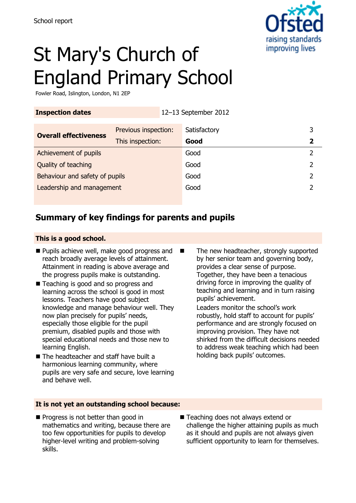

# St Mary's Church of England Primary School

Fowler Road, Islington, London, N1 2EP

| <b>Inspection dates</b>        |                      | 12-13 September 2012 |   |
|--------------------------------|----------------------|----------------------|---|
| <b>Overall effectiveness</b>   | Previous inspection: | Satisfactory         | 3 |
|                                | This inspection:     | Good                 | 2 |
| Achievement of pupils          |                      | Good                 |   |
| Quality of teaching            |                      | Good                 |   |
| Behaviour and safety of pupils |                      | Good                 |   |
| Leadership and management      |                      | Good                 |   |
|                                |                      |                      |   |

## **Summary of key findings for parents and pupils**

#### **This is a good school.**

- **Pupils achieve well, make good progress and** reach broadly average levels of attainment. Attainment in reading is above average and the progress pupils make is outstanding.
- Teaching is good and so progress and learning across the school is good in most lessons. Teachers have good subject knowledge and manage behaviour well. They now plan precisely for pupils' needs, especially those eligible for the pupil premium, disabled pupils and those with special educational needs and those new to learning English.
- The headteacher and staff have built a harmonious learning community, where pupils are very safe and secure, love learning and behave well.
- The new headteacher, strongly supported by her senior team and governing body, provides a clear sense of purpose. Together, they have been a tenacious driving force in improving the quality of teaching and learning and in turn raising pupils' achievement.

Leaders monitor the school's work robustly, hold staff to account for pupils' performance and are strongly focused on improving provision. They have not shirked from the difficult decisions needed to address weak teaching which had been holding back pupils' outcomes.

#### **It is not yet an outstanding school because:**

- **Progress is not better than good in** mathematics and writing, because there are too few opportunities for pupils to develop higher-level writing and problem-solving skills.
- Teaching does not always extend or challenge the higher attaining pupils as much as it should and pupils are not always given sufficient opportunity to learn for themselves.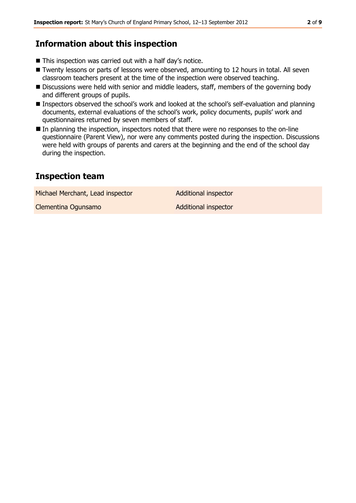## **Information about this inspection**

- This inspection was carried out with a half day's notice.
- Twenty lessons or parts of lessons were observed, amounting to 12 hours in total. All seven classroom teachers present at the time of the inspection were observed teaching.
- Discussions were held with senior and middle leaders, staff, members of the governing body and different groups of pupils.
- **Inspectors observed the school's work and looked at the school's self-evaluation and planning** documents, external evaluations of the school's work, policy documents, pupils' work and questionnaires returned by seven members of staff.
- In planning the inspection, inspectors noted that there were no responses to the on-line questionnaire (Parent View), nor were any comments posted during the inspection. Discussions were held with groups of parents and carers at the beginning and the end of the school day during the inspection.

## **Inspection team**

Michael Merchant, Lead inspector **Additional inspector** 

Clementina Ogunsamo **Additional inspector**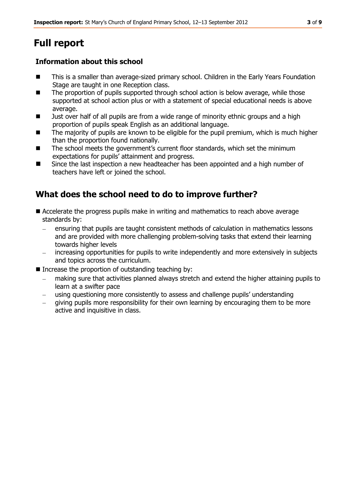## **Full report**

### **Information about this school**

- This is a smaller than average-sized primary school. Children in the Early Years Foundation Stage are taught in one Reception class.
- The proportion of pupils supported through school action is below average, while those supported at school action plus or with a statement of special educational needs is above average.
- **U** Just over half of all pupils are from a wide range of minority ethnic groups and a high proportion of pupils speak English as an additional language.
- The majority of pupils are known to be eligible for the pupil premium, which is much higher than the proportion found nationally.
- The school meets the government's current floor standards, which set the minimum expectations for pupils' attainment and progress.
- Since the last inspection a new headteacher has been appointed and a high number of teachers have left or joined the school.

## **What does the school need to do to improve further?**

- Accelerate the progress pupils make in writing and mathematics to reach above average standards by:
	- ensuring that pupils are taught consistent methods of calculation in mathematics lessons and are provided with more challenging problem-solving tasks that extend their learning towards higher levels
	- increasing opportunities for pupils to write independently and more extensively in subjects and topics across the curriculum.
- Increase the proportion of outstanding teaching by:
	- making sure that activities planned always stretch and extend the higher attaining pupils to learn at a swifter pace
	- using questioning more consistently to assess and challenge pupils' understanding
	- giving pupils more responsibility for their own learning by encouraging them to be more active and inquisitive in class.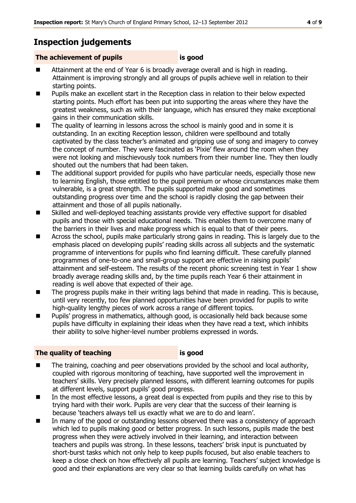## **Inspection judgements**

#### **The achievement of pupils is good**

- Attainment at the end of Year 6 is broadly average overall and is high in reading. Attainment is improving strongly and all groups of pupils achieve well in relation to their starting points.
- **Pupils make an excellent start in the Reception class in relation to their below expected** starting points. Much effort has been put into supporting the areas where they have the greatest weakness, such as with their language, which has ensured they make exceptional gains in their communication skills.
- The quality of learning in lessons across the school is mainly good and in some it is outstanding. In an exciting Reception lesson, children were spellbound and totally captivated by the class teacher's animated and gripping use of song and imagery to convey the concept of number. They were fascinated as 'Pixie' flew around the room when they were not looking and mischievously took numbers from their number line. They then loudly shouted out the numbers that had been taken.
- The additional support provided for pupils who have particular needs, especially those new to learning English, those entitled to the pupil premium or whose circumstances make them vulnerable, is a great strength. The pupils supported make good and sometimes outstanding progress over time and the school is rapidly closing the gap between their attainment and those of all pupils nationally.
- Skilled and well-deployed teaching assistants provide very effective support for disabled pupils and those with special educational needs. This enables them to overcome many of the barriers in their lives and make progress which is equal to that of their peers.
- Across the school, pupils make particularly strong gains in reading. This is largely due to the emphasis placed on developing pupils' reading skills across all subjects and the systematic programme of interventions for pupils who find learning difficult. These carefully planned programmes of one-to-one and small-group support are effective in raising pupils' attainment and self-esteem. The results of the recent phonic screening test in Year 1 show broadly average reading skills and, by the time pupils reach Year 6 their attainment in reading is well above that expected of their age.
- The progress pupils make in their writing lags behind that made in reading. This is because, until very recently, too few planned opportunities have been provided for pupils to write high-quality lengthy pieces of work across a range of different topics.
- Pupils' progress in mathematics, although good, is occasionally held back because some pupils have difficulty in explaining their ideas when they have read a text, which inhibits their ability to solve higher-level number problems expressed in words.

#### **The quality of teaching is good**

- The training, coaching and peer observations provided by the school and local authority, coupled with rigorous monitoring of teaching, have supported well the improvement in teachers' skills. Very precisely planned lessons, with different learning outcomes for pupils at different levels, support pupils' good progress.
- In the most effective lessons, a great deal is expected from pupils and they rise to this by trying hard with their work. Pupils are very clear that the success of their learning is because 'teachers always tell us exactly what we are to do and learn'.
- In many of the good or outstanding lessons observed there was a consistency of approach which led to pupils making good or better progress. In such lessons, pupils made the best progress when they were actively involved in their learning, and interaction between teachers and pupils was strong. In these lessons, teachers' brisk input is punctuated by short-burst tasks which not only help to keep pupils focused, but also enable teachers to keep a close check on how effectively all pupils are learning. Teachers' subject knowledge is good and their explanations are very clear so that learning builds carefully on what has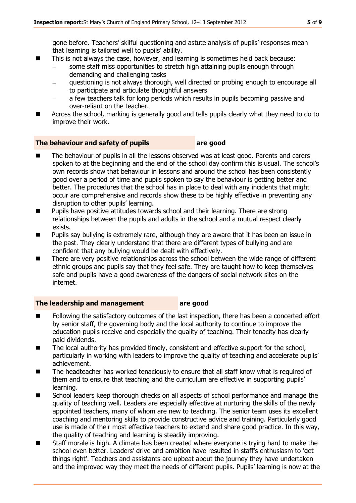gone before. Teachers' skilful questioning and astute analysis of pupils' responses mean that learning is tailored well to pupils' ability.

- This is not always the case, however, and learning is sometimes held back because:
	- some staff miss opportunities to stretch high attaining pupils enough through demanding and challenging tasks
	- questioning is not always thorough, well directed or probing enough to encourage all to participate and articulate thoughtful answers
	- a few teachers talk for long periods which results in pupils becoming passive and over-reliant on the teacher.
- **EXTERGHTM** Across the school, marking is generally good and tells pupils clearly what they need to do to improve their work.

#### **The behaviour and safety of pupils are good**

- The behaviour of pupils in all the lessons observed was at least good. Parents and carers spoken to at the beginning and the end of the school day confirm this is usual. The school's own records show that behaviour in lessons and around the school has been consistently good over a period of time and pupils spoken to say the behaviour is getting better and better. The procedures that the school has in place to deal with any incidents that might occur are comprehensive and records show these to be highly effective in preventing any disruption to other pupils' learning.
- **Pupils have positive attitudes towards school and their learning. There are strong** relationships between the pupils and adults in the school and a mutual respect clearly exists.
- **Pupils say bullying is extremely rare, although they are aware that it has been an issue in** the past. They clearly understand that there are different types of bullying and are confident that any bullying would be dealt with effectively.
- There are very positive relationships across the school between the wide range of different ethnic groups and pupils say that they feel safe. They are taught how to keep themselves safe and pupils have a good awareness of the dangers of social network sites on the internet.

#### **The leadership and management are good**

- Following the satisfactory outcomes of the last inspection, there has been a concerted effort by senior staff, the governing body and the local authority to continue to improve the education pupils receive and especially the quality of teaching. Their tenacity has clearly paid dividends.
- The local authority has provided timely, consistent and effective support for the school, particularly in working with leaders to improve the quality of teaching and accelerate pupils' achievement.
- The headteacher has worked tenaciously to ensure that all staff know what is required of them and to ensure that teaching and the curriculum are effective in supporting pupils' learning.
- School leaders keep thorough checks on all aspects of school performance and manage the quality of teaching well. Leaders are especially effective at nurturing the skills of the newly appointed teachers, many of whom are new to teaching. The senior team uses its excellent coaching and mentoring skills to provide constructive advice and training. Particularly good use is made of their most effective teachers to extend and share good practice. In this way, the quality of teaching and learning is steadily improving.
- Staff morale is high. A climate has been created where everyone is trying hard to make the school even better. Leaders' drive and ambition have resulted in staff's enthusiasm to 'get things right'. Teachers and assistants are upbeat about the journey they have undertaken and the improved way they meet the needs of different pupils. Pupils' learning is now at the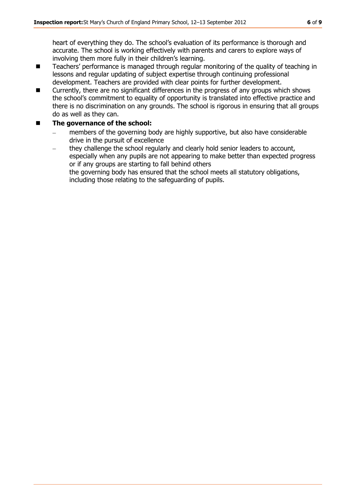heart of everything they do. The school's evaluation of its performance is thorough and accurate. The school is working effectively with parents and carers to explore ways of involving them more fully in their children's learning.

- Teachers' performance is managed through regular monitoring of the quality of teaching in lessons and regular updating of subject expertise through continuing professional development. Teachers are provided with clear points for further development.
- Currently, there are no significant differences in the progress of any groups which shows the school's commitment to equality of opportunity is translated into effective practice and there is no discrimination on any grounds. The school is rigorous in ensuring that all groups do as well as they can.

#### **The governance of the school:**

- members of the governing body are highly supportive, but also have considerable  $\overline{\phantom{0}}$ drive in the pursuit of excellence
- they challenge the school regularly and clearly hold senior leaders to account,  $\frac{1}{2}$ especially when any pupils are not appearing to make better than expected progress or if any groups are starting to fall behind others the governing body has ensured that the school meets all statutory obligations, including those relating to the safeguarding of pupils.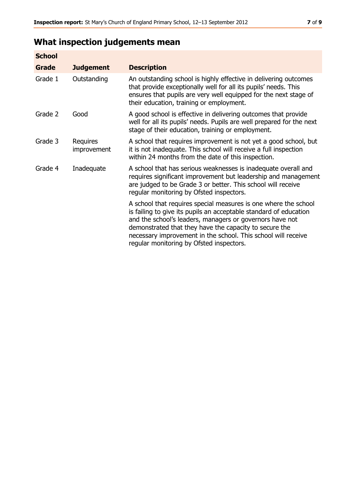## **What inspection judgements mean**

| <b>School</b> |                         |                                                                                                                                                                                                                                                                                                                                                                         |
|---------------|-------------------------|-------------------------------------------------------------------------------------------------------------------------------------------------------------------------------------------------------------------------------------------------------------------------------------------------------------------------------------------------------------------------|
| Grade         | <b>Judgement</b>        | <b>Description</b>                                                                                                                                                                                                                                                                                                                                                      |
| Grade 1       | Outstanding             | An outstanding school is highly effective in delivering outcomes<br>that provide exceptionally well for all its pupils' needs. This<br>ensures that pupils are very well equipped for the next stage of<br>their education, training or employment.                                                                                                                     |
| Grade 2       | Good                    | A good school is effective in delivering outcomes that provide<br>well for all its pupils' needs. Pupils are well prepared for the next<br>stage of their education, training or employment.                                                                                                                                                                            |
| Grade 3       | Requires<br>improvement | A school that requires improvement is not yet a good school, but<br>it is not inadequate. This school will receive a full inspection<br>within 24 months from the date of this inspection.                                                                                                                                                                              |
| Grade 4       | Inadequate              | A school that has serious weaknesses is inadequate overall and<br>requires significant improvement but leadership and management<br>are judged to be Grade 3 or better. This school will receive<br>regular monitoring by Ofsted inspectors.                                                                                                                            |
|               |                         | A school that requires special measures is one where the school<br>is failing to give its pupils an acceptable standard of education<br>and the school's leaders, managers or governors have not<br>demonstrated that they have the capacity to secure the<br>necessary improvement in the school. This school will receive<br>regular monitoring by Ofsted inspectors. |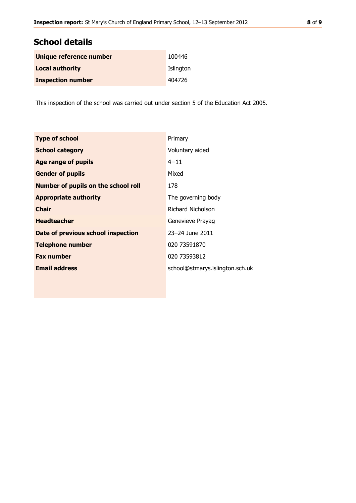## **School details**

| Unique reference number  | 100446    |
|--------------------------|-----------|
| <b>Local authority</b>   | Islington |
| <b>Inspection number</b> | 404726    |

This inspection of the school was carried out under section 5 of the Education Act 2005.

| <b>Type of school</b>                      | Primary                         |
|--------------------------------------------|---------------------------------|
| <b>School category</b>                     | Voluntary aided                 |
| <b>Age range of pupils</b>                 | $4 - 11$                        |
| <b>Gender of pupils</b>                    | Mixed                           |
| <b>Number of pupils on the school roll</b> | 178                             |
| <b>Appropriate authority</b>               | The governing body              |
| <b>Chair</b>                               | Richard Nicholson               |
| <b>Headteacher</b>                         | Genevieve Prayag                |
| Date of previous school inspection         | 23-24 June 2011                 |
| <b>Telephone number</b>                    | 020 73591870                    |
| <b>Fax number</b>                          | 020 73593812                    |
| <b>Email address</b>                       | school@stmarys.islington.sch.uk |
|                                            |                                 |